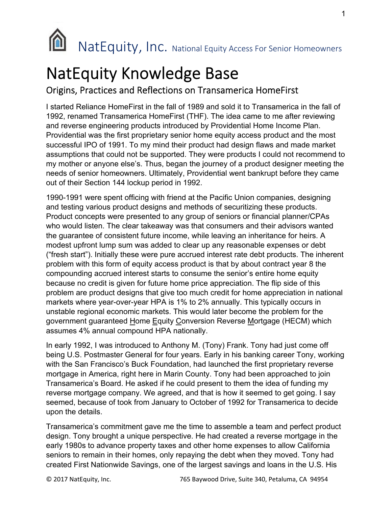

## NatEquity Knowledge Base

## Origins, Practices and Reflections on Transamerica HomeFirst

I started Reliance HomeFirst in the fall of 1989 and sold it to Transamerica in the fall of 1992, renamed Transamerica HomeFirst (THF). The idea came to me after reviewing and reverse engineering products introduced by Providential Home Income Plan. Providential was the first proprietary senior home equity access product and the most successful IPO of 1991. To my mind their product had design flaws and made market assumptions that could not be supported. They were products I could not recommend to my mother or anyone else's. Thus, began the journey of a product designer meeting the needs of senior homeowners. Ultimately, Providential went bankrupt before they came out of their Section 144 lockup period in 1992.

1990-1991 were spent officing with friend at the Pacific Union companies, designing and testing various product designs and methods of securitizing these products. Product concepts were presented to any group of seniors or financial planner/CPAs who would listen. The clear takeaway was that consumers and their advisors wanted the guarantee of consistent future income, while leaving an inheritance for heirs. A modest upfront lump sum was added to clear up any reasonable expenses or debt ("fresh start"). Initially these were pure accrued interest rate debt products. The inherent problem with this form of equity access product is that by about contract year 8 the compounding accrued interest starts to consume the senior's entire home equity because no credit is given for future home price appreciation. The flip side of this problem are product designs that give too much credit for home appreciation in national markets where year-over-year HPA is 1% to 2% annually. This typically occurs in unstable regional economic markets. This would later become the problem for the government guaranteed Home Equity Conversion Reverse Mortgage (HECM) which assumes 4% annual compound HPA nationally.

In early 1992, I was introduced to Anthony M. (Tony) Frank. Tony had just come off being U.S. Postmaster General for four years. Early in his banking career Tony, working with the San Francisco's Buck Foundation, had launched the first proprietary reverse mortgage in America, right here in Marin County. Tony had been approached to join Transamerica's Board. He asked if he could present to them the idea of funding my reverse mortgage company. We agreed, and that is how it seemed to get going. I say seemed, because of took from January to October of 1992 for Transamerica to decide upon the details.

Transamerica's commitment gave me the time to assemble a team and perfect product design. Tony brought a unique perspective. He had created a reverse mortgage in the early 1980s to advance property taxes and other home expenses to allow California seniors to remain in their homes, only repaying the debt when they moved. Tony had created First Nationwide Savings, one of the largest savings and loans in the U.S. His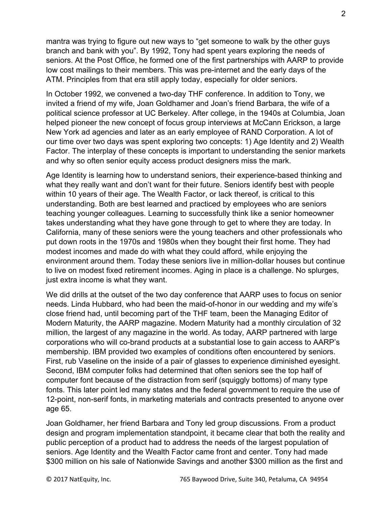mantra was trying to figure out new ways to "get someone to walk by the other guys branch and bank with you". By 1992, Tony had spent years exploring the needs of seniors. At the Post Office, he formed one of the first partnerships with AARP to provide low cost mailings to their members. This was pre-internet and the early days of the ATM. Principles from that era still apply today, especially for older seniors.

In October 1992, we convened a two-day THF conference. In addition to Tony, we invited a friend of my wife, Joan Goldhamer and Joan's friend Barbara, the wife of a political science professor at UC Berkeley. After college, in the 1940s at Columbia, Joan helped pioneer the new concept of focus group interviews at McCann Erickson, a large New York ad agencies and later as an early employee of RAND Corporation. A lot of our time over two days was spent exploring two concepts: 1) Age Identity and 2) Wealth Factor. The interplay of these concepts is important to understanding the senior markets and why so often senior equity access product designers miss the mark.

Age Identity is learning how to understand seniors, their experience-based thinking and what they really want and don't want for their future. Seniors identify best with people within 10 years of their age. The Wealth Factor, or lack thereof, is critical to this understanding. Both are best learned and practiced by employees who are seniors teaching younger colleagues. Learning to successfully think like a senior homeowner takes understanding what they have gone through to get to where they are today. In California, many of these seniors were the young teachers and other professionals who put down roots in the 1970s and 1980s when they bought their first home. They had modest incomes and made do with what they could afford, while enjoying the environment around them. Today these seniors live in million-dollar houses but continue to live on modest fixed retirement incomes. Aging in place is a challenge. No splurges, just extra income is what they want.

We did drills at the outset of the two day conference that AARP uses to focus on senior needs. Linda Hubbard, who had been the maid-of-honor in our wedding and my wife's close friend had, until becoming part of the THF team, been the Managing Editor of Modern Maturity, the AARP magazine. Modern Maturity had a monthly circulation of 32 million, the largest of any magazine in the world. As today, AARP partnered with large corporations who will co-brand products at a substantial lose to gain access to AARP's membership. IBM provided two examples of conditions often encountered by seniors. First, rub Vaseline on the inside of a pair of glasses to experience diminished eyesight. Second, IBM computer folks had determined that often seniors see the top half of computer font because of the distraction from serif (squiggly bottoms) of many type fonts. This later point led many states and the federal government to require the use of 12-point, non-serif fonts, in marketing materials and contracts presented to anyone over age 65.

Joan Goldhamer, her friend Barbara and Tony led group discussions. From a product design and program implementation standpoint, it became clear that both the reality and public perception of a product had to address the needs of the largest population of seniors. Age Identity and the Wealth Factor came front and center. Tony had made \$300 million on his sale of Nationwide Savings and another \$300 million as the first and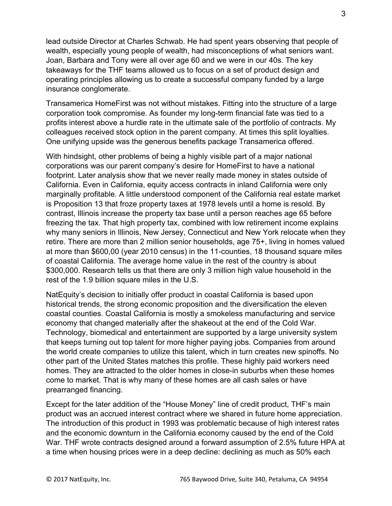lead outside Director at Charles Schwab. He had spent years observing that people of wealth, especially young people of wealth, had misconceptions of what seniors want. Joan, Barbara and Tony were all over age 60 and we were in our 40s. The key takeaways for the THF teams allowed us to focus on a set of product design and operating principles allowing us to create a successful company funded by a large insurance conglomerate.

Transamerica HomeFirst was not without mistakes. Fitting into the structure of a large corporation took compromise. As founder my long-term financial fate was tied to a profits interest above a hurdle rate in the ultimate sale of the portfolio of contracts. My colleagues received stock option in the parent company. At times this split loyalties. One unifying upside was the generous benefits package Transamerica offered.

With hindsight, other problems of being a highly visible part of a major national corporations was our parent company's desire for HomeFirst to have a national footprint. Later analysis show that we never really made money in states outside of California. Even in California, equity access contracts in inland California were only marginally profitable. A little understood component of the California real estate market is Proposition 13 that froze property taxes at 1978 levels until a home is resold. By contrast, Illinois increase the property tax base until a person reaches age 65 before freezing the tax. That high property tax, combined with low retirement income explains why many seniors in Illinois, New Jersey, Connecticut and New York relocate when they retire. There are more than 2 million senior households, age 75+, living in homes valued at more than \$600,00 (year 2010 census) in the 11-counties, 18 thousand square miles of coastal California. The average home value in the rest of the country is about \$300,000. Research tells us that there are only 3 million high value household in the rest of the 1.9 billion square miles in the U.S.

NatEquity's decision to initially offer product in coastal California is based upon historical trends, the strong economic proposition and the diversification the eleven coastal counties. Coastal California is mostly a smokeless manufacturing and service economy that changed materially after the shakeout at the end of the Cold War. Technology, biomedical and entertainment are supported by a large university system that keeps turning out top talent for more higher paying jobs. Companies from around the world create companies to utilize this talent, which in turn creates new spinoffs. No other part of the United States matches this profile. These highly paid workers need homes. They are attracted to the older homes in close-in suburbs when these homes come to market. That is why many of these homes are all cash sales or have prearranged financing.

Except for the later addition of the "House Money" line of credit product, THF's main product was an accrued interest contract where we shared in future home appreciation. The introduction of this product in 1993 was problematic because of high interest rates and the economic downturn in the California economy caused by the end of the Cold War. THF wrote contracts designed around a forward assumption of 2.5% future HPA at a time when housing prices were in a deep decline: declining as much as 50% each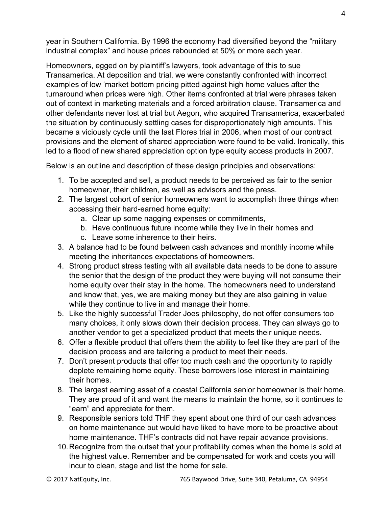year in Southern California. By 1996 the economy had diversified beyond the "military industrial complex" and house prices rebounded at 50% or more each year.

Homeowners, egged on by plaintiff's lawyers, took advantage of this to sue Transamerica. At deposition and trial, we were constantly confronted with incorrect examples of low 'market bottom pricing pitted against high home values after the turnaround when prices were high. Other items confronted at trial were phrases taken out of context in marketing materials and a forced arbitration clause. Transamerica and other defendants never lost at trial but Aegon, who acquired Transamerica, exacerbated the situation by continuously settling cases for disproportionately high amounts. This became a viciously cycle until the last Flores trial in 2006, when most of our contract provisions and the element of shared appreciation were found to be valid. Ironically, this led to a flood of new shared appreciation option type equity access products in 2007.

Below is an outline and description of these design principles and observations:

- 1. To be accepted and sell, a product needs to be perceived as fair to the senior homeowner, their children, as well as advisors and the press.
- 2. The largest cohort of senior homeowners want to accomplish three things when accessing their hard-earned home equity:
	- a. Clear up some nagging expenses or commitments,
	- b. Have continuous future income while they live in their homes and
	- c. Leave some inherence to their heirs.
- 3. A balance had to be found between cash advances and monthly income while meeting the inheritances expectations of homeowners.
- 4. Strong product stress testing with all available data needs to be done to assure the senior that the design of the product they were buying will not consume their home equity over their stay in the home. The homeowners need to understand and know that, yes, we are making money but they are also gaining in value while they continue to live in and manage their home.
- 5. Like the highly successful Trader Joes philosophy, do not offer consumers too many choices, it only slows down their decision process. They can always go to another vendor to get a specialized product that meets their unique needs.
- 6. Offer a flexible product that offers them the ability to feel like they are part of the decision process and are tailoring a product to meet their needs.
- 7. Don't present products that offer too much cash and the opportunity to rapidly deplete remaining home equity. These borrowers lose interest in maintaining their homes.
- 8. The largest earning asset of a coastal California senior homeowner is their home. They are proud of it and want the means to maintain the home, so it continues to "earn" and appreciate for them.
- 9. Responsible seniors told THF they spent about one third of our cash advances on home maintenance but would have liked to have more to be proactive about home maintenance. THF's contracts did not have repair advance provisions.
- 10. Recognize from the outset that your profitability comes when the home is sold at the highest value. Remember and be compensated for work and costs you will incur to clean, stage and list the home for sale.